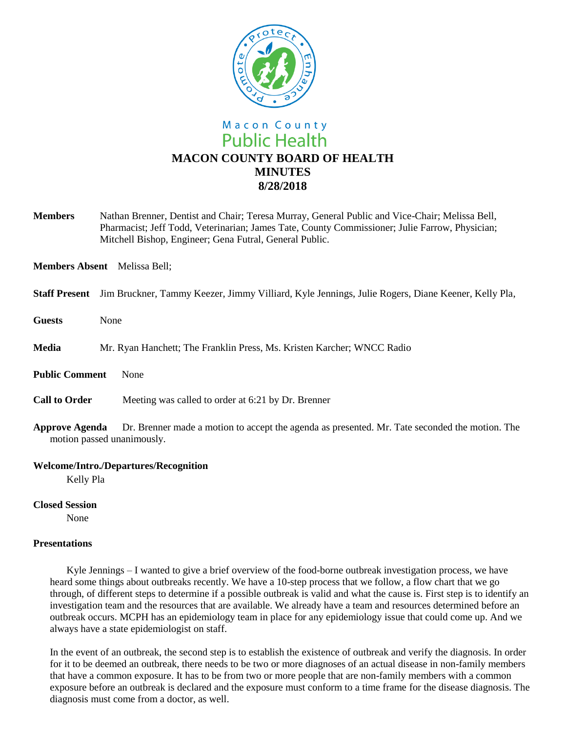

# Macon County **Public Health MACON COUNTY BOARD OF HEALTH MINUTES 8/28/2018**

**Members** Nathan Brenner, Dentist and Chair; Teresa Murray, General Public and Vice-Chair; Melissa Bell, Pharmacist; Jeff Todd, Veterinarian; James Tate, County Commissioner; Julie Farrow, Physician; Mitchell Bishop, Engineer; Gena Futral, General Public.

**Members Absent** Melissa Bell;

- **Staff Present** Jim Bruckner, Tammy Keezer, Jimmy Villiard, Kyle Jennings, Julie Rogers, Diane Keener, Kelly Pla,
- **Guests** None
- **Media** Mr. Ryan Hanchett; The Franklin Press, Ms. Kristen Karcher; WNCC Radio
- **Public Comment** None
- **Call to Order** Meeting was called to order at 6:21 by Dr. Brenner
- **Approve Agenda** Dr. Brenner made a motion to accept the agenda as presented. Mr. Tate seconded the motion. The motion passed unanimously.

#### **Welcome/Intro./Departures/Recognition**

Kelly Pla

**Closed Session**

None

## **Presentations**

Kyle Jennings – I wanted to give a brief overview of the food-borne outbreak investigation process, we have heard some things about outbreaks recently. We have a 10-step process that we follow, a flow chart that we go through, of different steps to determine if a possible outbreak is valid and what the cause is. First step is to identify an investigation team and the resources that are available. We already have a team and resources determined before an outbreak occurs. MCPH has an epidemiology team in place for any epidemiology issue that could come up. And we always have a state epidemiologist on staff.

In the event of an outbreak, the second step is to establish the existence of outbreak and verify the diagnosis. In order for it to be deemed an outbreak, there needs to be two or more diagnoses of an actual disease in non-family members that have a common exposure. It has to be from two or more people that are non-family members with a common exposure before an outbreak is declared and the exposure must conform to a time frame for the disease diagnosis. The diagnosis must come from a doctor, as well.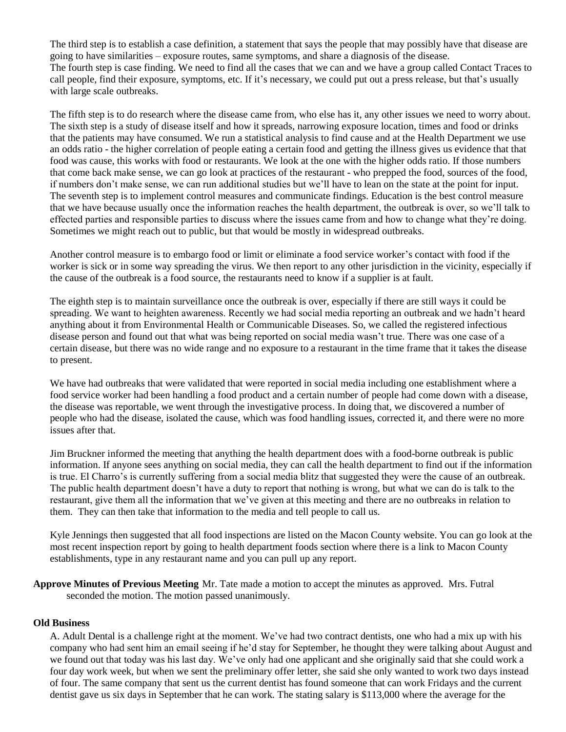The third step is to establish a case definition, a statement that says the people that may possibly have that disease are going to have similarities – exposure routes, same symptoms, and share a diagnosis of the disease. The fourth step is case finding. We need to find all the cases that we can and we have a group called Contact Traces to call people, find their exposure, symptoms, etc. If it's necessary, we could put out a press release, but that's usually with large scale outbreaks.

The fifth step is to do research where the disease came from, who else has it, any other issues we need to worry about. The sixth step is a study of disease itself and how it spreads, narrowing exposure location, times and food or drinks that the patients may have consumed. We run a statistical analysis to find cause and at the Health Department we use an odds ratio - the higher correlation of people eating a certain food and getting the illness gives us evidence that that food was cause, this works with food or restaurants. We look at the one with the higher odds ratio. If those numbers that come back make sense, we can go look at practices of the restaurant - who prepped the food, sources of the food, if numbers don't make sense, we can run additional studies but we'll have to lean on the state at the point for input. The seventh step is to implement control measures and communicate findings. Education is the best control measure that we have because usually once the information reaches the health department, the outbreak is over, so we'll talk to effected parties and responsible parties to discuss where the issues came from and how to change what they're doing. Sometimes we might reach out to public, but that would be mostly in widespread outbreaks.

Another control measure is to embargo food or limit or eliminate a food service worker's contact with food if the worker is sick or in some way spreading the virus. We then report to any other jurisdiction in the vicinity, especially if the cause of the outbreak is a food source, the restaurants need to know if a supplier is at fault.

The eighth step is to maintain surveillance once the outbreak is over, especially if there are still ways it could be spreading. We want to heighten awareness. Recently we had social media reporting an outbreak and we hadn't heard anything about it from Environmental Health or Communicable Diseases. So, we called the registered infectious disease person and found out that what was being reported on social media wasn't true. There was one case of a certain disease, but there was no wide range and no exposure to a restaurant in the time frame that it takes the disease to present.

We have had outbreaks that were validated that were reported in social media including one establishment where a food service worker had been handling a food product and a certain number of people had come down with a disease, the disease was reportable, we went through the investigative process. In doing that, we discovered a number of people who had the disease, isolated the cause, which was food handling issues, corrected it, and there were no more issues after that.

Jim Bruckner informed the meeting that anything the health department does with a food-borne outbreak is public information. If anyone sees anything on social media, they can call the health department to find out if the information is true. El Charro's is currently suffering from a social media blitz that suggested they were the cause of an outbreak. The public health department doesn't have a duty to report that nothing is wrong, but what we can do is talk to the restaurant, give them all the information that we've given at this meeting and there are no outbreaks in relation to them. They can then take that information to the media and tell people to call us.

Kyle Jennings then suggested that all food inspections are listed on the Macon County website. You can go look at the most recent inspection report by going to health department foods section where there is a link to Macon County establishments, type in any restaurant name and you can pull up any report.

**Approve Minutes of Previous Meeting** Mr. Tate made a motion to accept the minutes as approved. Mrs. Futral seconded the motion. The motion passed unanimously.

## **Old Business**

A. Adult Dental is a challenge right at the moment. We've had two contract dentists, one who had a mix up with his company who had sent him an email seeing if he'd stay for September, he thought they were talking about August and we found out that today was his last day. We've only had one applicant and she originally said that she could work a four day work week, but when we sent the preliminary offer letter, she said she only wanted to work two days instead of four. The same company that sent us the current dentist has found someone that can work Fridays and the current dentist gave us six days in September that he can work. The stating salary is \$113,000 where the average for the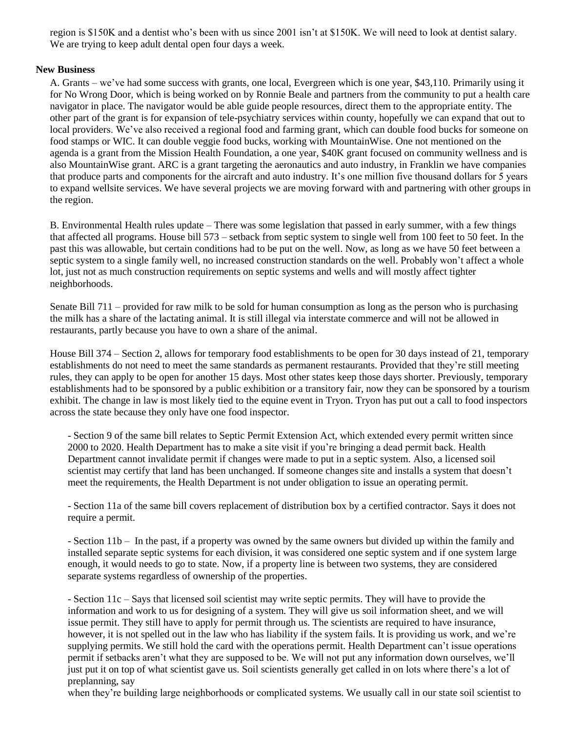region is \$150K and a dentist who's been with us since 2001 isn't at \$150K. We will need to look at dentist salary. We are trying to keep adult dental open four days a week.

## **New Business**

A. Grants – we've had some success with grants, one local, Evergreen which is one year, \$43,110. Primarily using it for No Wrong Door, which is being worked on by Ronnie Beale and partners from the community to put a health care navigator in place. The navigator would be able guide people resources, direct them to the appropriate entity. The other part of the grant is for expansion of tele-psychiatry services within county, hopefully we can expand that out to local providers. We've also received a regional food and farming grant, which can double food bucks for someone on food stamps or WIC. It can double veggie food bucks, working with MountainWise. One not mentioned on the agenda is a grant from the Mission Health Foundation, a one year, \$40K grant focused on community wellness and is also MountainWise grant. ARC is a grant targeting the aeronautics and auto industry, in Franklin we have companies that produce parts and components for the aircraft and auto industry. It's one million five thousand dollars for 5 years to expand wellsite services. We have several projects we are moving forward with and partnering with other groups in the region.

B. Environmental Health rules update – There was some legislation that passed in early summer, with a few things that affected all programs. House bill 573 – setback from septic system to single well from 100 feet to 50 feet. In the past this was allowable, but certain conditions had to be put on the well. Now, as long as we have 50 feet between a septic system to a single family well, no increased construction standards on the well. Probably won't affect a whole lot, just not as much construction requirements on septic systems and wells and will mostly affect tighter neighborhoods.

Senate Bill 711 – provided for raw milk to be sold for human consumption as long as the person who is purchasing the milk has a share of the lactating animal. It is still illegal via interstate commerce and will not be allowed in restaurants, partly because you have to own a share of the animal.

House Bill 374 – Section 2, allows for temporary food establishments to be open for 30 days instead of 21, temporary establishments do not need to meet the same standards as permanent restaurants. Provided that they're still meeting rules, they can apply to be open for another 15 days. Most other states keep those days shorter. Previously, temporary establishments had to be sponsored by a public exhibition or a transitory fair, now they can be sponsored by a tourism exhibit. The change in law is most likely tied to the equine event in Tryon. Tryon has put out a call to food inspectors across the state because they only have one food inspector.

 - Section 9 of the same bill relates to Septic Permit Extension Act, which extended every permit written since 2000 to 2020. Health Department has to make a site visit if you're bringing a dead permit back. Health Department cannot invalidate permit if changes were made to put in a septic system. Also, a licensed soil scientist may certify that land has been unchanged. If someone changes site and installs a system that doesn't meet the requirements, the Health Department is not under obligation to issue an operating permit.

 - Section 11a of the same bill covers replacement of distribution box by a certified contractor. Says it does not require a permit.

 - Section 11b – In the past, if a property was owned by the same owners but divided up within the family and installed separate septic systems for each division, it was considered one septic system and if one system large enough, it would needs to go to state. Now, if a property line is between two systems, they are considered separate systems regardless of ownership of the properties.

 - Section 11c – Says that licensed soil scientist may write septic permits. They will have to provide the information and work to us for designing of a system. They will give us soil information sheet, and we will issue permit. They still have to apply for permit through us. The scientists are required to have insurance, however, it is not spelled out in the law who has liability if the system fails. It is providing us work, and we're supplying permits. We still hold the card with the operations permit. Health Department can't issue operations permit if setbacks aren't what they are supposed to be. We will not put any information down ourselves, we'll just put it on top of what scientist gave us. Soil scientists generally get called in on lots where there's a lot of preplanning, say

when they're building large neighborhoods or complicated systems. We usually call in our state soil scientist to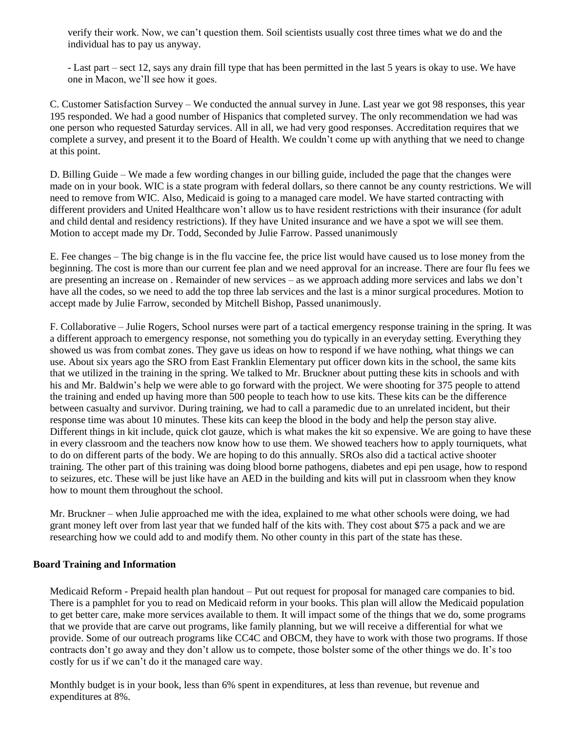verify their work. Now, we can't question them. Soil scientists usually cost three times what we do and the individual has to pay us anyway.

 - Last part – sect 12, says any drain fill type that has been permitted in the last 5 years is okay to use. We have one in Macon, we'll see how it goes.

C. Customer Satisfaction Survey – We conducted the annual survey in June. Last year we got 98 responses, this year 195 responded. We had a good number of Hispanics that completed survey. The only recommendation we had was one person who requested Saturday services. All in all, we had very good responses. Accreditation requires that we complete a survey, and present it to the Board of Health. We couldn't come up with anything that we need to change at this point.

D. Billing Guide – We made a few wording changes in our billing guide, included the page that the changes were made on in your book. WIC is a state program with federal dollars, so there cannot be any county restrictions. We will need to remove from WIC. Also, Medicaid is going to a managed care model. We have started contracting with different providers and United Healthcare won't allow us to have resident restrictions with their insurance (for adult and child dental and residency restrictions). If they have United insurance and we have a spot we will see them. Motion to accept made my Dr. Todd, Seconded by Julie Farrow. Passed unanimously

E. Fee changes – The big change is in the flu vaccine fee, the price list would have caused us to lose money from the beginning. The cost is more than our current fee plan and we need approval for an increase. There are four flu fees we are presenting an increase on . Remainder of new services – as we approach adding more services and labs we don't have all the codes, so we need to add the top three lab services and the last is a minor surgical procedures. Motion to accept made by Julie Farrow, seconded by Mitchell Bishop, Passed unanimously.

F. Collaborative – Julie Rogers, School nurses were part of a tactical emergency response training in the spring. It was a different approach to emergency response, not something you do typically in an everyday setting. Everything they showed us was from combat zones. They gave us ideas on how to respond if we have nothing, what things we can use. About six years ago the SRO from East Franklin Elementary put officer down kits in the school, the same kits that we utilized in the training in the spring. We talked to Mr. Bruckner about putting these kits in schools and with his and Mr. Baldwin's help we were able to go forward with the project. We were shooting for 375 people to attend the training and ended up having more than 500 people to teach how to use kits. These kits can be the difference between casualty and survivor. During training, we had to call a paramedic due to an unrelated incident, but their response time was about 10 minutes. These kits can keep the blood in the body and help the person stay alive. Different things in kit include, quick clot gauze, which is what makes the kit so expensive. We are going to have these in every classroom and the teachers now know how to use them. We showed teachers how to apply tourniquets, what to do on different parts of the body. We are hoping to do this annually. SROs also did a tactical active shooter training. The other part of this training was doing blood borne pathogens, diabetes and epi pen usage, how to respond to seizures, etc. These will be just like have an AED in the building and kits will put in classroom when they know how to mount them throughout the school.

Mr. Bruckner – when Julie approached me with the idea, explained to me what other schools were doing, we had grant money left over from last year that we funded half of the kits with. They cost about \$75 a pack and we are researching how we could add to and modify them. No other county in this part of the state has these.

## **Board Training and Information**

Medicaid Reform - Prepaid health plan handout – Put out request for proposal for managed care companies to bid. There is a pamphlet for you to read on Medicaid reform in your books. This plan will allow the Medicaid population to get better care, make more services available to them. It will impact some of the things that we do, some programs that we provide that are carve out programs, like family planning, but we will receive a differential for what we provide. Some of our outreach programs like CC4C and OBCM, they have to work with those two programs. If those contracts don't go away and they don't allow us to compete, those bolster some of the other things we do. It's too costly for us if we can't do it the managed care way.

Monthly budget is in your book, less than 6% spent in expenditures, at less than revenue, but revenue and expenditures at 8%.